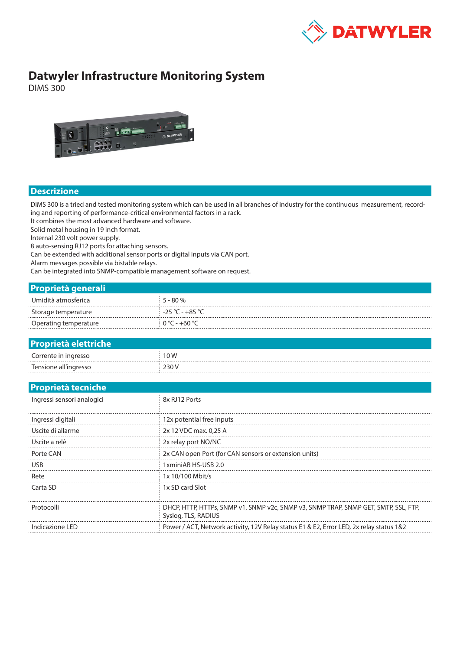

## **Datwyler Infrastructure Monitoring System**

DIMS 300



## **Descrizione**

DIMS 300 is a tried and tested monitoring system which can be used in all branches of industry for the continuous measurement, recording and reporting of performance-critical environmental factors in a rack.

It combines the most advanced hardware and software.

Operating temperature  $0 °C - +60 °C$ 

Solid metal housing in 19 inch format.

Internal 230 volt power supply.

8 auto-sensing RJ12 ports for attaching sensors.

Can be extended with additional sensor ports or digital inputs via CAN port.

Alarm messages possible via bistable relays.

Can be integrated into SNMP-compatible management software on request.

| <b>Proprietà generali</b> |         |
|---------------------------|---------|
| Umidità atmosferica       | $-80\%$ |
| Storage temperature       | 1050    |

| <b>Proprietà elettriche</b> |       |
|-----------------------------|-------|
| Corrente in ingresso        | 10 W  |
| Tensione all'ingresso       | 230 V |

| <b>Proprietà tecniche</b>  |                                                                                                            |  |  |
|----------------------------|------------------------------------------------------------------------------------------------------------|--|--|
| Ingressi sensori analogici | 8x RJ12 Ports                                                                                              |  |  |
| Ingressi digitali          | 12x potential free inputs                                                                                  |  |  |
| Uscite di allarme          | 2x 12 VDC max. 0,25 A                                                                                      |  |  |
| Uscite a relè              | 2x relay port NO/NC                                                                                        |  |  |
| Porte CAN                  | 2x CAN open Port (for CAN sensors or extension units)                                                      |  |  |
| <b>USB</b>                 | 1xminiAB HS-USB 2.0                                                                                        |  |  |
| Rete                       | 1x 10/100 Mbit/s                                                                                           |  |  |
| Carta SD                   | 1x SD card Slot                                                                                            |  |  |
| Protocolli                 | DHCP, HTTP, HTTPs, SNMP v1, SNMP v2c, SNMP v3, SNMP TRAP, SNMP GET, SMTP, SSL, FTP,<br>Syslog, TLS, RADIUS |  |  |
| Indicazione LED            | Power / ACT, Network activity, 12V Relay status E1 & E2, Error LED, 2x relay status 1&2                    |  |  |